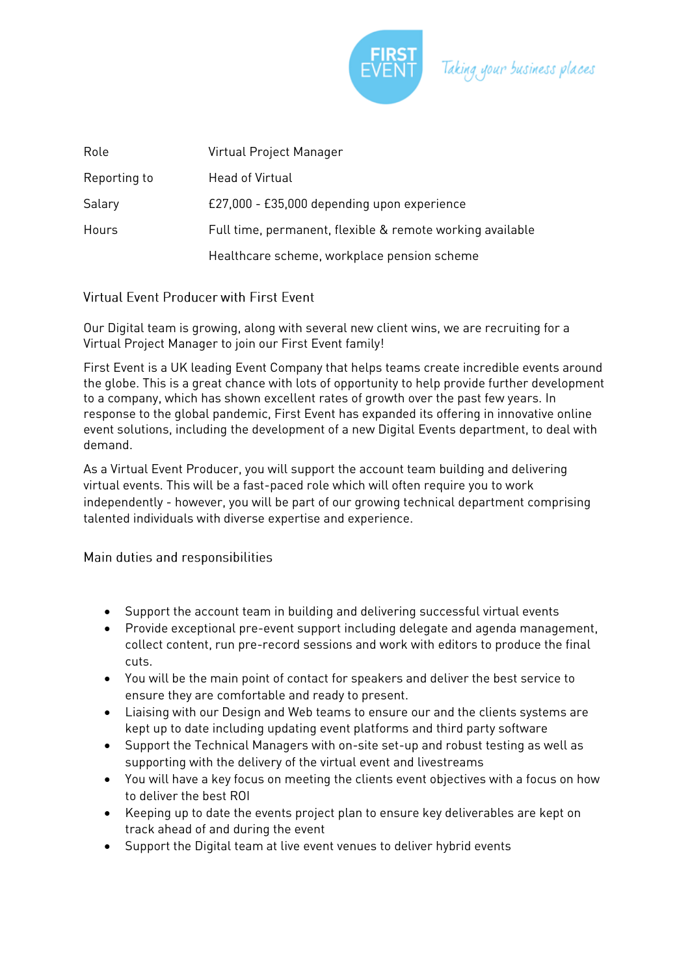

Taking your business places

| Role         | Virtual Project Manager                                   |
|--------------|-----------------------------------------------------------|
| Reporting to | <b>Head of Virtual</b>                                    |
| Salary       | £27,000 - £35,000 depending upon experience               |
| Hours        | Full time, permanent, flexible & remote working available |
|              | Healthcare scheme, workplace pension scheme               |
|              |                                                           |

Virtual Event Producer with First Event

Uirtual Project Manager to join our First Event family! Virtual Project Manager to join our First Event family!

First Event is a UK leading Event Company that helps teams create incredible events around the globe. This is a great chance with lots of opportunity to help provide further development to a company, which has shown excellent rates of growth over the past few years. In response to the global pandemic. First Event has expanded its offering in innovative online response to the global pandemic, First Event has enpaired its offering in innovative online.<br>Avent solutions, including the development of a new Digital Events department, to deal with event solutions, including the development of a new Digital Events department, to denote a new Digital Events <br>The department of a new Digital Events department, to deal with the solution of a new Digital Events departmen

As a Virtual Event Producer, you will support the account team building and delivering<br>virtual events. This will be a fast-paced role which will often require you to work independently - however, you will be part of our growing technical department comprising talented individuals with diverse expertise and experience. talented individuals with diverse expertise and experience.

Main duties and responsibilities

- Support the account team in building and delivering successful virtual events
- Provide exceptional pre-event support including delegate and agenda management, collect content, run pre-record sessions and work with editors to produce the final
- You will be the main point of contact for speakers and deliver the best service to<br>ensure they are comfertable and ready to present
- Liaising with our Design and Web teams to ensure our and the clients systems are<br>kent up to date including undating event platforms and third party settuare.
- **Example 2 and the Technical Managers with on-site set-up and robust testing as well as**<br>
Support the Technical Managers with on-site set-up and robust testing as well as
- $\bullet$  You will have a key focus on meeting the clients event objectives with a focus on how<br>to deliver the best POL
- Keeping up to date the events project plan to ensure key deliverables are kept on<br>track aboad of and during the event
- $\bullet$  Support the Digital team at live event venues to deliver hybrid events